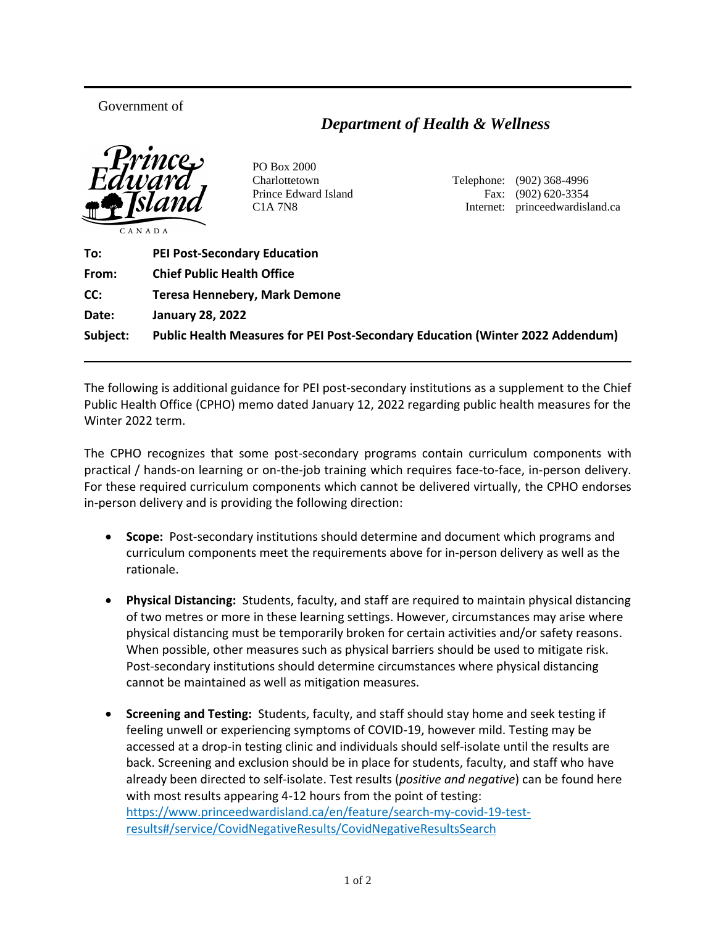## Government of

**MEMORANDUM**

## *Department of Health & Wellness*



PO Box 2000

Charlottetown Telephone: (902) 368-4996 Prince Edward Island Fax: (902) 620-3354 C1A 7N8 Internet: princeedwardisland.ca

| To:      | <b>PEI Post-Secondary Education</b>                                            |
|----------|--------------------------------------------------------------------------------|
| From:    | <b>Chief Public Health Office</b>                                              |
| CC:      | <b>Teresa Hennebery, Mark Demone</b>                                           |
| Date:    | <b>January 28, 2022</b>                                                        |
| Subject: | Public Health Measures for PEI Post-Secondary Education (Winter 2022 Addendum) |

The following is additional guidance for PEI post-secondary institutions as a supplement to the Chief Public Health Office (CPHO) memo dated January 12, 2022 regarding public health measures for the Winter 2022 term.

The CPHO recognizes that some post-secondary programs contain curriculum components with practical / hands-on learning or on-the-job training which requires face-to-face, in-person delivery. For these required curriculum components which cannot be delivered virtually, the CPHO endorses in-person delivery and is providing the following direction:

- **Scope:** Post-secondary institutions should determine and document which programs and curriculum components meet the requirements above for in-person delivery as well as the rationale.
- **Physical Distancing:** Students, faculty, and staff are required to maintain physical distancing of two metres or more in these learning settings. However, circumstances may arise where physical distancing must be temporarily broken for certain activities and/or safety reasons. When possible, other measures such as physical barriers should be used to mitigate risk. Post-secondary institutions should determine circumstances where physical distancing cannot be maintained as well as mitigation measures.
- **Screening and Testing:** Students, faculty, and staff should stay home and seek testing if feeling unwell or experiencing symptoms of COVID-19, however mild. Testing may be accessed at a drop-in testing clinic and individuals should self-isolate until the results are back. Screening and exclusion should be in place for students, faculty, and staff who have already been directed to self-isolate. Test results (*positive and negative*) can be found here with most results appearing 4-12 hours from the point of testing: https://www.princeedwardisland.ca/en/feature/search-my-covid-19-testresults#/service/CovidNegativeResults/CovidNegativeResultsSearch